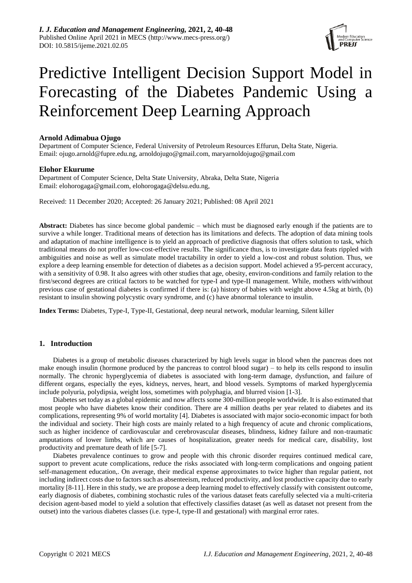

# Predictive Intelligent Decision Support Model in Forecasting of the Diabetes Pandemic Using a Reinforcement Deep Learning Approach

## **Arnold Adimabua Ojugo**

Department of Computer Science, Federal University of Petroleum Resources Effurun, Delta State, Nigeria. Email: ojugo.arnold@fupre.edu.ng, arnoldojugo@gmail.com, maryarnoldojugo@gmail.com

## **Elohor Ekurume**

Department of Computer Science, Delta State University, Abraka, Delta State, Nigeria Email: elohorogaga@gmail.com, elohorogaga@delsu.edu.ng,

Received: 11 December 2020; Accepted: 26 January 2021; Published: 08 April 2021

**Abstract:** Diabetes has since become global pandemic – which must be diagnosed early enough if the patients are to survive a while longer. Traditional means of detection has its limitations and defects. The adoption of data mining tools and adaptation of machine intelligence is to yield an approach of predictive diagnosis that offers solution to task, which traditional means do not proffer low-cost-effective results. The significance thus, is to investigate data feats rippled with ambiguities and noise as well as simulate model tractability in order to yield a low-cost and robust solution. Thus, we explore a deep learning ensemble for detection of diabetes as a decision support. Model achieved a 95-percent accuracy, with a sensitivity of 0.98. It also agrees with other studies that age, obesity, environ-conditions and family relation to the first/second degrees are critical factors to be watched for type-I and type-II management. While, mothers with/without previous case of gestational diabetes is confirmed if there is: (a) history of babies with weight above 4.5kg at birth, (b) resistant to insulin showing polycystic ovary syndrome, and (c) have abnormal tolerance to insulin.

**Index Terms:** Diabetes, Type-I, Type-II, Gestational, deep neural network, modular learning, Silent killer

## **1. Introduction**

Diabetes is a group of metabolic diseases characterized by high levels sugar in blood when the pancreas does not make enough insulin (hormone produced by the pancreas to control blood sugar) – to help its cells respond to insulin normally. The chronic hyperglycemia of diabetes is associated with long-term damage, dysfunction, and failure of different organs, especially the eyes, kidneys, nerves, heart, and blood vessels. Symptoms of marked hyperglycemia include polyuria, polydipsia, weight loss, sometimes with polyphagia, and blurred vision [1-3].

Diabetes set today as a global epidemic and now affects some 300-million people worldwide. It is also estimated that most people who have diabetes know their condition. There are 4 million deaths per year related to diabetes and its complications, representing 9% of world mortality [4]. Diabetes is associated with major socio-economic impact for both the individual and society. Their high costs are mainly related to a high frequency of acute and chronic complications, such as higher incidence of cardiovascular and cerebrovascular diseases, blindness, kidney failure and non-traumatic amputations of lower limbs, which are causes of hospitalization, greater needs for medical care, disability, lost productivity and premature death of life [5-7].

Diabetes prevalence continues to grow and people with this chronic disorder requires continued medical care, support to prevent acute complications, reduce the risks associated with long-term complications and ongoing patient self-management education,. On average, their medical expense approximates to twice higher than regular patient, not including indirect costs due to factors such as absenteeism, reduced productivity, and lost productive capacity due to early mortality [8-11]. Here in this study, we are propose a deep learning model to effectively classify with consistent outcome, early diagnosis of diabetes, combining stochastic rules of the various dataset feats carefully selected via a multi-criteria decision agent-based model to yield a solution that effectively classifies dataset (as well as dataset not present from the outset) into the various diabetes classes (i.e. type-I, type-II and gestational) with marginal error rates.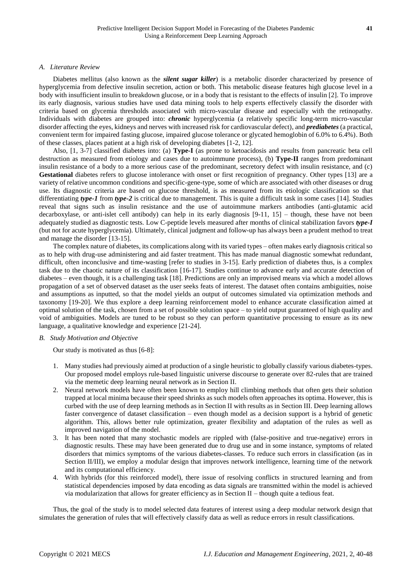### *A. Literature Review*

Diabetes mellitus (also known as the *silent sugar killer*) is a metabolic disorder characterized by presence of hyperglycemia from defective insulin secretion, action or both. This metabolic disease features high glucose level in a body with insufficient insulin to breakdown glucose, or in a body that is resistant to the effects of insulin [2]. To improve its early diagnosis, various studies have used data mining tools to help experts effectively classify the disorder with criteria based on glycemia thresholds associated with micro-vascular disease and especially with the retinopathy. Individuals with diabetes are grouped into: *chronic* hyperglycemia (a relatively specific long-term micro-vascular disorder affecting the eyes, kidneys and nerves with increased risk for cardiovascular defect), and *prediabetes* (a practical, convenient term for impaired fasting glucose, impaired glucose tolerance or glycated hemoglobin of 6.0% to 6.4%). Both of these classes, places patient at a high risk of developing diabetes [1-2, 12].

Also, [1, 3-7] classified diabetes into: (a) **Type-I** (as prone to ketoacidosis and results from pancreatic beta cell destruction as measured from etiology and cases due to autoimmune process), (b) **Type-II** ranges from predominant insulin resistance of a body to a more serious case of the predominant, secretory defect with insulin resistance, and (c) **Gestational** diabetes refers to glucose intolerance with onset or first recognition of pregnancy. Other types [13] are a variety of relative uncommon conditions and specific-gene-type, some of which are associated with other diseases or drug use. Its diagnostic criteria are based on glucose threshold, is as measured from its etiologic classification so that differentiating *type-1* from *type-2* is critical due to management. This is quite a difficult task in some cases [14]. Studies reveal that signs such as insulin resistance and the use of autoimmune markers antibodies (anti-glutamic acid decarboxylase, or anti-islet cell antibody) can help in its early diagnosis [9-11, 15] – though, these have not been adequately studied as diagnostic tests. Low C-peptide levels measured after months of clinical stabilization favors *type-I* (but not for acute hyperglycemia). Ultimately, clinical judgment and follow-up has always been a prudent method to treat and manage the disorder [13-15].

The complex nature of diabetes, its complications along with its varied types – often makes early diagnosis critical so as to help with drug-use administering and aid faster treatment. This has made manual diagnostic somewhat redundant, difficult, often inconclusive and time-wasting [refer to studies in 3-15]. Early prediction of diabetes thus, is a complex task due to the chaotic nature of its classification [16-17]. Studies continue to advance early and accurate detection of diabetes – even though, it is a challenging task [18]. Predictions are only an improvised means via which a model allows propagation of a set of observed dataset as the user seeks feats of interest. The dataset often contains ambiguities, noise and assumptions as inputted, so that the model yields an output of outcomes simulated via optimization methods and taxonomy [19-20]. We thus explore a deep learning reinforcement model to enhance accurate classification aimed at optimal solution of the task, chosen from a set of possible solution space – to yield output guaranteed of high quality and void of ambiguities. Models are tuned to be robust so they can perform quantitative processing to ensure as its new language, a qualitative knowledge and experience [21-24].

#### *B. Study Motivation and Objective*

Our study is motivated as thus [6-8]:

- 1. Many studies had previously aimed at production of a single heuristic to globally classify various diabetes-types. Our proposed model employs rule-based linguistic universe discourse to generate over 82-rules that are trained via the memetic deep learning neural network as in Section II.
- 2. Neural network models have often been known to employ hill climbing methods that often gets their solution trapped at local minima because their speed shrinks as such models often approaches its optima. However, this is curbed with the use of deep learning methods as in Section II with results as in Section III. Deep learning allows faster convergence of dataset classification – even though model as a decision support is a hybrid of genetic algorithm. This, allows better rule optimization, greater flexibility and adaptation of the rules as well as improved navigation of the model.
- 3. It has been noted that many stochastic models are rippled with (false-positive and true-negative) errors in diagnostic results. These may have been generated due to drug use and in some instance, symptoms of related disorders that mimics symptoms of the various diabetes-classes. To reduce such errors in classification (as in Section II/III), we employ a modular design that improves network intelligence, learning time of the network and its computational efficiency.
- 4. With hybrids (for this reinforced model), there issue of resolving conflicts in structured learning and from statistical dependencies imposed by data encoding as data signals are transmitted within the model is achieved via modularization that allows for greater efficiency as in Section II – though quite a tedious feat.

Thus, the goal of the study is to model selected data features of interest using a deep modular network design that simulates the generation of rules that will effectively classify data as well as reduce errors in result classifications.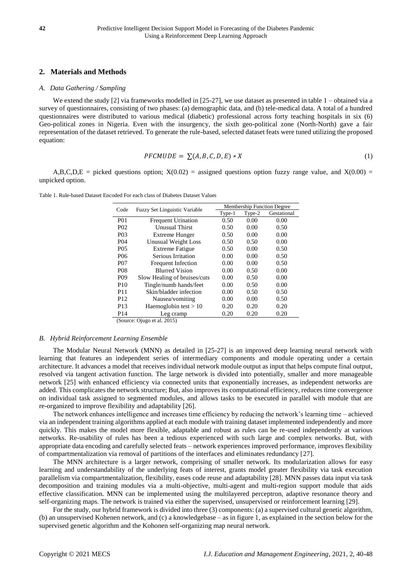## **2. Materials and Methods**

#### *A. Data Gathering / Sampling*

We extend the study [2] via frameworks modelled in [25-27], we use dataset as presented in table 1 – obtained via a survey of questionnaires, consisting of two phases: (a) demographic data, and (b) tele-medical data. A total of a hundred questionnaires were distributed to various medical (diabetic) professional across forty teaching hospitals in six (6) Geo-political zones in Nigeria. Even with the insurgency, the sixth geo-political zone (North-North) gave a fair representation of the dataset retrieved. To generate the rule-based, selected dataset feats were tuned utilizing the proposed equation:

$$
PFCMUDE = \sum (A, B, C, D, E) * X \tag{1}
$$

A,B,C,D,E = picked questions option;  $X(0.02)$  = assigned questions option fuzzy range value, and  $X(0.00)$  = unpicked option.

Table 1. Rule-based Dataset Encoded For each class of Diabetes Dataset Values

| Code                                                    | <b>Fuzzy Set Linguistic Variable</b> | <b>Membership Function Degree</b> |        |             |  |  |
|---------------------------------------------------------|--------------------------------------|-----------------------------------|--------|-------------|--|--|
|                                                         |                                      | Type-1                            | Type-2 | Gestational |  |  |
| <b>P01</b>                                              | <b>Frequent Urination</b>            | 0.50                              | 0.00   | 0.00        |  |  |
| P <sub>0</sub> 2                                        | <b>Unusual Thirst</b>                | 0.50                              | 0.00   | 0.50        |  |  |
| P <sub>0</sub> 3                                        | <b>Extreme Hunger</b>                | 0.50                              | 0.00   | 0.00        |  |  |
| P <sub>04</sub>                                         | Unusual Weight Loss                  | 0.50                              | 0.50   | 0.00        |  |  |
| P <sub>05</sub>                                         | <b>Extreme Fatigue</b>               | 0.50                              | 0.00   | 0.50        |  |  |
| P <sub>06</sub>                                         | Serious Irritation                   | 0.00                              | 0.00   | 0.50        |  |  |
| <b>P07</b>                                              | <b>Frequent Infection</b>            | 0.00                              | 0.00   | 0.50        |  |  |
| <b>P08</b>                                              | <b>Blurred Vision</b>                | 0.00                              | 0.50   | 0.00        |  |  |
| P <sub>09</sub>                                         | Slow Healing of bruises/cuts         | 0.00                              | 0.50   | 0.00        |  |  |
| P <sub>10</sub>                                         | Tingle/numb hands/feet               | 0.00                              | 0.50   | 0.00        |  |  |
| P <sub>11</sub>                                         | Skin/bladder infection               | 0.00                              | 0.50   | 0.50        |  |  |
| P <sub>12</sub>                                         | Nausea/vomiting                      | 0.00                              | 0.00   | 0.50        |  |  |
| P <sub>13</sub>                                         | Haemoglobin test $> 10$              | 0.20                              | 0.20   | 0.20        |  |  |
| P <sub>14</sub>                                         | Leg cramp                            | 0.20                              | 0.20   | 0.20        |  |  |
| $(8 \text{ square})$ $\Omega_{\text{meas}} \neq 1.2015$ |                                      |                                   |        |             |  |  |

(Source: Ojugo et al. 2015)

#### *B. Hybrid Reinforcement Learning Ensemble*

The Modular Neural Network (MNN) as detailed in [25-27] is an improved deep learning neural network with learning that features an independent series of intermediary components and module operating under a certain architecture. It advances a model that receives individual network module output as input that helps compute final output, resolved via tangent activation function. The large network is divided into potentially, smaller and more manageable network [25] with enhanced efficiency via connected units that exponentially increases, as independent networks are added. This complicates the network structure; But, also improves its computational efficiency, reduces time convergence on individual task assigned to segmented modules, and allows tasks to be executed in parallel with module that are re-organized to improve flexibility and adaptability [26].

The network enhances intelligence and increases time efficiency by reducing the network's learning time – achieved via an independent training algorithms applied at each module with training dataset implemented independently and more quickly. This makes the model more flexible, adaptable and robust as rules can be re-used independently at various networks. Re-usability of rules has been a tedious experienced with such large and complex networks. But, with appropriate data encoding and carefully selected feats – network experiences improved performance, improves flexibility of compartmentalization via removal of partitions of the interfaces and eliminates redundancy [27].

The MNN architecture is a larger network, comprising of smaller network. Its modularization allows for easy learning and understandability of the underlying feats of interest, grants model greater flexibility via task execution parallelism via compartmentalization, flexibility, eases code reuse and adaptability [28]. MNN passes data input via task decomposition and training modules via a multi-objective, multi-agent and multi-region support module that aids effective classification. MNN can be implemented using the multilayered perceptron, adaptive resonance theory and self-organizing maps. The network is trained via either the supervised, unsupervised or reinforcement learning [29].

For the study, our hybrid framework is divided into three (3) components: (a) a supervised cultural genetic algorithm, (b) an unsupervised Kohenen network, and (c) a knowledgebase – as in figure 1, as explained in the section below for the supervised genetic algorithm and the Kohonen self-organizing map neural network.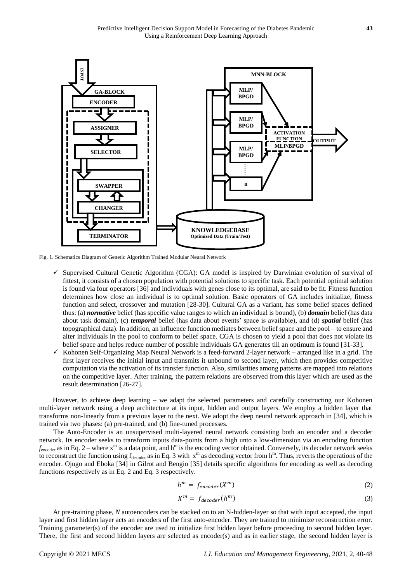

Fig. 1. Schematics Diagram of Genetic Algorithm Trained Modular Neural Network

- $\checkmark$  Supervised Cultural Genetic Algorithm (CGA): GA model is inspired by Darwinian evolution of survival of fittest, it consists of a chosen population with potential solutions to specific task. Each potential optimal solution is found via four operators [36] and individuals with genes close to its optimal, are said to be fit. Fitness function determines how close an individual is to optimal solution. Basic operators of GA includes initialize, fitness function and select, crossover and mutation [28-30]. Cultural GA as a variant, has some belief spaces defined thus: (a) *normative* belief (has specific value ranges to which an individual is bound), (b) *domain* belief (has data about task domain), (c) *temporal* belief (has data about events' space is available), and (d) *spatial* belief (has topographical data). In addition, an influence function mediates between belief space and the pool – to ensure and alter individuals in the pool to conform to belief space. CGA is chosen to yield a pool that does not violate its belief space and helps reduce number of possible individuals GA generates till an optimum is found [31-33].
- $\checkmark$  Kohonen Self-Organizing Map Neural Network is a feed-forward 2-layer network arranged like in a grid. The first layer receives the initial input and transmits it unbound to second layer, which then provides competitive computation via the activation of its transfer function. Also, similarities among patterns are mapped into relations on the competitive layer. After training, the pattern relations are observed from this layer which are used as the result determination [26-27].

However, to achieve deep learning – we adapt the selected parameters and carefully constructing our Kohonen multi-layer network using a deep architecture at its input, hidden and output layers. We employ a hidden layer that transforms non-linearly from a previous layer to the next. We adopt the deep neural network approach in [34], which is trained via two phases: (a) pre-trained, and (b) fine-tuned processes.

The Auto-Encoder is an unsupervised multi-layered neural network consisting both an encoder and a decoder network. Its encoder seeks to transform inputs data-points from a high unto a low-dimension via an encoding function  $f_{\text{encoder}}$  as in Eq. 2 – where  $x^{\text{m}}$  is a data point, and  $h^{\text{m}}$  is the encoding vector obtained. Conversely, its decoder network seeks to reconstruct the function using  $f_{\text{decoder}}$  as in Eq. 3 with  $x^m$  as decoding vector from  $h^m$ . Thus, reverts the operations of the encoder. Ojugo and Eboka [34] in Gilrot and Bengio [35] details specific algorithms for encoding as well as decoding functions respectively as in Eq. 2 and Eq. 3 respectively.

$$
h^m = f_{encoder}(X^m) \tag{2}
$$

$$
X^m = f_{decoder}(h^m)
$$
 (3)

At pre-training phase, *N* autoencoders can be stacked on to an N-hidden-layer so that with input accepted, the input layer and first hidden layer acts an encoders of the first auto-encoder. They are trained to minimize reconstruction error. Training parameter(s) of the encoder are used to initialize first hidden layer before proceeding to second hidden layer. There, the first and second hidden layers are selected as encoder(s) and as in earlier stage, the second hidden layer is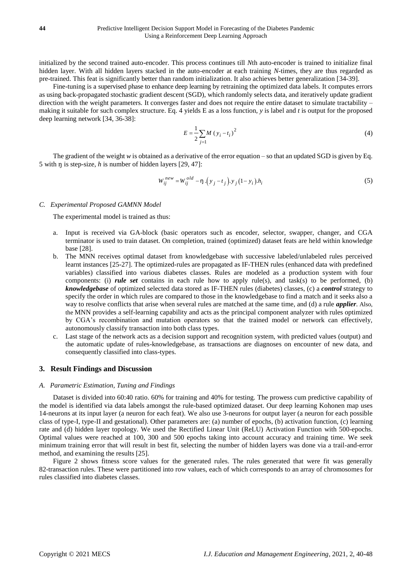initialized by the second trained auto-encoder. This process continues till *N*th auto-encoder is trained to initialize final hidden layer. With all hidden layers stacked in the auto-encoder at each training *N*-times, they are thus regarded as pre-trained. This feat is significantly better than random initialization. It also achieves better generalization [34-39].

Fine-tuning is a supervised phase to enhance deep learning by retraining the optimized data labels. It computes errors as using back-propagated stochastic gradient descent (SGD), which randomly selects data, and iteratively update gradient direction with the weight parameters. It converges faster and does not require the entire dataset to simulate tractability – making it suitable for such complex structure. Eq. 4 yields E as a loss function, *y* is label and *t* is output for the proposed deep learning network [34, 36-38]:

$$
E = \frac{1}{2} \sum_{j=1}^{M} (y_i - t_i)^2
$$
 (4)

The gradient of the weight *w* is obtained as a derivative of the error equation – so that an updated SGD is given by Eq. 5 with ŋ is step-size, *h* is number of hidden layers [29, 47]:

$$
W_{ij}^{new} = W_{ij}^{old} - \eta \cdot (y_j - t_j) y_j (1 - y_i) h_i
$$
 (5)

#### *C. Experimental Proposed GAMNN Model*

The experimental model is trained as thus:

- a. Input is received via GA-block (basic operators such as encoder, selector, swapper, changer, and CGA terminator is used to train dataset. On completion, trained (optimized) dataset feats are held within knowledge base [28].
- b. The MNN receives optimal dataset from knowledgebase with successive labeled/unlabeled rules perceived learnt instances [25-27]. The optimized-rules are propagated as IF-THEN rules (enhanced data with predefined variables) classified into various diabetes classes. Rules are modeled as a production system with four components: (i) *rule set* contains in each rule how to apply rule(s), and task(s) to be performed, (b) *knowledgebase* of optimized selected data stored as IF-THEN rules (diabetes) classes, (c) a *control* strategy to specify the order in which rules are compared to those in the knowledgebase to find a match and it seeks also a way to resolve conflicts that arise when several rules are matched at the same time, and (d) a rule *applier*. Also, the MNN provides a self-learning capability and acts as the principal component analyzer with rules optimized by CGA's recombination and mutation operators so that the trained model or network can effectively, autonomously classify transaction into both class types.
- c. Last stage of the network acts as a decision support and recognition system, with predicted values (output) and the automatic update of rules-knowledgebase, as transactions are diagnoses on encounter of new data, and consequently classified into class-types.

## **3. Result Findings and Discussion**

#### *A. Parametric Estimation, Tuning and Findings*

Dataset is divided into 60:40 ratio. 60% for training and 40% for testing. The prowess cum predictive capability of the model is identified via data labels amongst the rule-based optimized dataset. Our deep learning Kohonen map uses 14-neurons at its input layer (a neuron for each feat). We also use 3-neurons for output layer (a neuron for each possible class of type-I, type-II and gestational). Other parameters are: (a) number of epochs, (b) activation function, (c) learning rate and (d) hidden layer topology. We used the Rectified Linear Unit (ReLU) Activation Function with 500-epochs. Optimal values were reached at 100, 300 and 500 epochs taking into account accuracy and training time. We seek minimum training error that will result in best fit, selecting the number of hidden layers was done via a trail-and-error method, and examining the results [25].

Figure 2 shows fitness score values for the generated rules. The rules generated that were fit was generally 82-transaction rules. These were partitioned into row values, each of which corresponds to an array of chromosomes for rules classified into diabetes classes.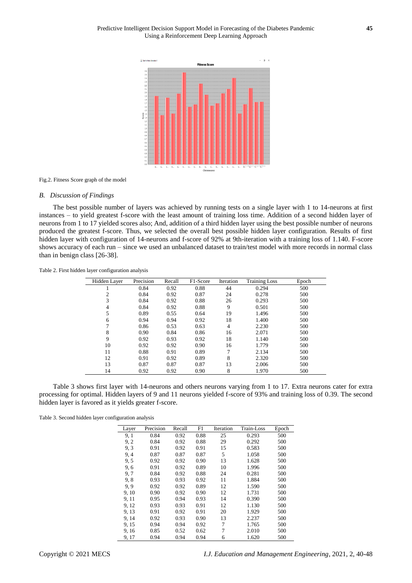

Fig.2. Fitness Score graph of the model

#### *B. Discussion of Findings*

The best possible number of layers was achieved by running tests on a single layer with 1 to 14-neurons at first instances – to yield greatest f-score with the least amount of training loss time. Addition of a second hidden layer of neurons from 1 to 17 yielded scores also; And, addition of a third hidden layer using the best possible number of neurons produced the greatest f-score. Thus, we selected the overall best possible hidden layer configuration. Results of first hidden layer with configuration of 14-neurons and f-score of 92% at 9th-iteration with a training loss of 1.140. F-score shows accuracy of each run – since we used an unbalanced dataset to train/test model with more records in normal class than in benign class [26-38].

Table 2. First hidden layer configuration analysis

| Hidden Layer | Precision | Recall | F1-Score | Iteration      | <b>Training Loss</b> | Epoch |
|--------------|-----------|--------|----------|----------------|----------------------|-------|
|              | 0.84      | 0.92   | 0.88     | 44             | 0.294                | 500   |
| 2            | 0.84      | 0.92   | 0.87     | 24             | 0.278                | 500   |
| 3            | 0.84      | 0.92   | 0.88     | 26             | 0.293                | 500   |
| 4            | 0.84      | 0.92   | 0.88     | 9              | 0.501                | 500   |
| 5            | 0.89      | 0.55   | 0.64     | 19             | 1.496                | 500   |
| 6            | 0.94      | 0.94   | 0.92     | 18             | 1.400                | 500   |
|              | 0.86      | 0.53   | 0.63     | $\overline{4}$ | 2.230                | 500   |
| 8            | 0.90      | 0.84   | 0.86     | 16             | 2.071                | 500   |
| 9            | 0.92      | 0.93   | 0.92     | 18             | 1.140                | 500   |
| 10           | 0.92      | 0.92   | 0.90     | 16             | 1.779                | 500   |
| 11           | 0.88      | 0.91   | 0.89     | 7              | 2.134                | 500   |
| 12           | 0.91      | 0.92   | 0.89     | 8              | 2.320                | 500   |
| 13           | 0.87      | 0.87   | 0.87     | 13             | 2.006                | 500   |
| 14           | 0.92      | 0.92   | 0.90     | 8              | 1.970                | 500   |

Table 3 shows first layer with 14-neurons and others neurons varying from 1 to 17. Extra neurons cater for extra processing for optimal. Hidden layers of 9 and 11 neurons yielded f-score of 93% and training loss of 0.39. The second hidden layer is favored as it yields greater f-score.

Table 3. Second hidden layer configuration analysis

| Layer | Precision | Recall | F1   | Iteration | Train-Loss | Epoch |
|-------|-----------|--------|------|-----------|------------|-------|
| 9, 1  | 0.84      | 0.92   | 0.88 | 25        | 0.293      | 500   |
| 9, 2  | 0.84      | 0.92   | 0.88 | 29        | 0.292      | 500   |
| 9.3   | 0.91      | 0.92   | 0.91 | 15        | 0.583      | 500   |
| 9, 4  | 0.87      | 0.87   | 0.87 | 5         | 1.058      | 500   |
| 9.5   | 0.92      | 0.92   | 0.90 | 13        | 1.628      | 500   |
| 9,6   | 0.91      | 0.92   | 0.89 | 10        | 1.996      | 500   |
| 9.7   | 0.84      | 0.92   | 0.88 | 24        | 0.281      | 500   |
| 9,8   | 0.93      | 0.93   | 0.92 | 11        | 1.884      | 500   |
| 9.9   | 0.92      | 0.92   | 0.89 | 12        | 1.590      | 500   |
| 9, 10 | 0.90      | 0.92   | 0.90 | 12        | 1.731      | 500   |
| 9, 11 | 0.95      | 0.94   | 0.93 | 14        | 0.390      | 500   |
| 9, 12 | 0.93      | 0.93   | 0.91 | 12        | 1.130      | 500   |
| 9, 13 | 0.91      | 0.92   | 0.91 | 20        | 1.929      | 500   |
| 9, 14 | 0.92      | 0.93   | 0.90 | 13        | 2.237      | 500   |
| 9, 15 | 0.94      | 0.94   | 0.92 | 7         | 1.765      | 500   |
| 9.16  | 0.85      | 0.52   | 0.62 | 7         | 2.010      | 500   |
| 9, 17 | 0.94      | 0.94   | 0.94 | 6         | 1.620      | 500   |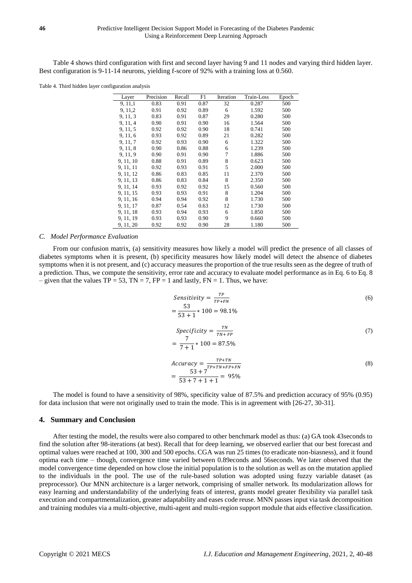Table 4 shows third configuration with first and second layer having 9 and 11 nodes and varying third hidden layer. Best configuration is 9-11-14 neurons, yielding f-score of 92% with a training loss at 0.560.

Table 4. Third hidden layer configuration analysis

| Layer     | Precision | Recall | F1   | Iteration | Train-Loss | Epoch |
|-----------|-----------|--------|------|-----------|------------|-------|
| 9, 11, 1  | 0.83      | 0.91   | 0.87 | 32        | 0.287      | 500   |
| 9, 11, 2  | 0.91      | 0.92   | 0.89 | 6         | 1.592      | 500   |
| 9, 11, 3  | 0.83      | 0.91   | 0.87 | 29        | 0.280      | 500   |
| 9, 11, 4  | 0.90      | 0.91   | 0.90 | 16        | 1.564      | 500   |
| 9, 11, 5  | 0.92      | 0.92   | 0.90 | 18        | 0.741      | 500   |
| 9, 11, 6  | 0.93      | 0.92   | 0.89 | 21        | 0.282      | 500   |
| 9, 11, 7  | 0.92      | 0.93   | 0.90 | 6         | 1.322      | 500   |
| 9, 11, 8  | 0.90      | 0.86   | 0.88 | 6         | 1.239      | 500   |
| 9, 11, 9  | 0.90      | 0.91   | 0.90 | 7         | 1.886      | 500   |
| 9, 11, 10 | 0.88      | 0.91   | 0.89 | 8         | 0.623      | 500   |
| 9, 11, 11 | 0.92      | 0.93   | 0.91 | 5         | 2.000      | 500   |
| 9, 11, 12 | 0.86      | 0.83   | 0.85 | 11        | 2.370      | 500   |
| 9, 11, 13 | 0.86      | 0.83   | 0.84 | 8         | 2.350      | 500   |
| 9, 11, 14 | 0.93      | 0.92   | 0.92 | 15        | 0.560      | 500   |
| 9, 11, 15 | 0.93      | 0.93   | 0.91 | 8         | 1.204      | 500   |
| 9, 11, 16 | 0.94      | 0.94   | 0.92 | 8         | 1.730      | 500   |
| 9, 11, 17 | 0.87      | 0.54   | 0.63 | 12        | 1.730      | 500   |
| 9, 11, 18 | 0.93      | 0.94   | 0.93 | 6         | 1.850      | 500   |
| 9, 11, 19 | 0.93      | 0.93   | 0.90 | 9         | 0.660      | 500   |
| 9, 11, 20 | 0.92      | 0.92   | 0.90 | 28        | 1.180      | 500   |

#### *C. Model Performance Evaluation*

From our confusion matrix, (a) sensitivity measures how likely a model will predict the presence of all classes of diabetes symptoms when it is present, (b) specificity measures how likely model will detect the absence of diabetes symptoms when it is not present, and (c) accuracy measures the proportion of the true results seen as the degree of truth of a prediction. Thus, we compute the sensitivity, error rate and accuracy to evaluate model performance as in Eq. 6 to Eq. 8 – given that the values  $TP = 53$ ,  $TN = 7$ ,  $FP = 1$  and lastly,  $FN = 1$ . Thus, we have:

Sensitivity = 
$$
\frac{TP}{TP+FN}
$$
 (6)  
=  $\frac{53}{53+1} * 100 = 98.1\%$ 

$$
Specificity = \frac{TN}{TN + FP}
$$
  
=  $\frac{7}{7+1} * 100 = 87.5\%$  (7)

$$
Accuracy = \frac{TP + TN}{TP + TN + FP + FN}
$$
  
= 
$$
\frac{53 + 7}{53 + 7 + 1 + 1} = 95\%
$$
 (8)

The model is found to have a sensitivity of 98%, specificity value of 87.5% and prediction accuracy of 95% (0.95) for data inclusion that were not originally used to train the mode. This is in agreement with [26-27, 30-31].

## **4. Summary and Conclusion**

After testing the model, the results were also compared to other benchmark model as thus: (a) GA took 43seconds to find the solution after 98-iterations (at best). Recall that for deep learning, we observed earlier that our best forecast and optimal values were reached at 100, 300 and 500 epochs. CGA was run 25 times (to eradicate non-biasness), and it found optima each time – though, convergence time varied between 0.89econds and 56seconds. We later observed that the model convergence time depended on how close the initial population is to the solution as well as on the mutation applied to the individuals in the pool. The use of the rule-based solution was adopted using fuzzy variable dataset (as preprocessor). Our MNN architecture is a larger network, comprising of smaller network. Its modularization allows for easy learning and understandability of the underlying feats of interest, grants model greater flexibility via parallel task execution and compartmentalization, greater adaptability and eases code reuse. MNN passes input via task decomposition and training modules via a multi-objective, multi-agent and multi-region support module that aids effective classification.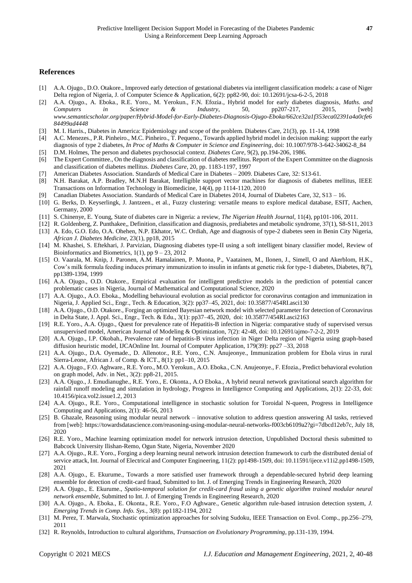### **References**

- [1] A.A. Ojugo., D.O. Otakore., Improved early detection of gestational diabetes via intelligent classification models: a case of Niger Delta region of Nigeria, J. of Computer Science & Application, 6(2): pp82-90, doi: 10.12691/jcsa-6-2-5, 2018
- [2] A.A. Ojugo., A. Eboka., R.E. Yoro., M. Yerokun., F.N. Efozia., Hybrid model for early diabetes diagnosis, *Maths. and Computers in Science & Industry*, 50, pp207-217, 2015, [web] *www.semanticscholar.org/paper/Hybrid-Model-for-Early-Diabetes-Diagnosis-Ojugo-Eboka/662ce32a1f353eca02391a4a0cfe6 84499ad4448*
- [3] M. I. Harris., Diabetes in America: Epidemiology and scope of the problem. Diabetes Care, 21(3), pp. 11-14, 1998
- [4] A.C. Menezes., P.R. Pinheiro., M.C. Pinheiro., T. Pequeno., Towards applied hybrid model in decision making: support the early diagnosis of type 2 diabetes, *In Proc of Maths & Computer in Science and Engineering*, doi: 10.1007/978-3-642-34062-8\_84
- [5] D.M. Holmes, The person and diabetes psychosocial context. *Diabetes Care*, 9(2), pp.194-206, 1986.
- [6] The Expert Committee., On the diagnosis and classification of diabetes mellitus. Report of the Expert Committee on the diagnosis and classification of diabetes mellitus. *Diabetes Care*, 20, pp. 1183-1197, 1997
- [7] American Diabetes Association. Standards of Medical Care in Diabetes 2009. Diabetes Care, 32: S13-61.
- [8] N.H. Barakat, A.P. Bradley, M.N.H Barakat, Intelligible support vector machines for diagnosis of diabetes mellitus, IEEE Transactions on Information Technology in Biomedicine, 14(4), pp 1114-1120, 2010
- [9] Canadian Diabetes Association. Standards of Medical Care in Diabetes 2014, Journal of Diabetes Care, 32, S13 16.
- [10] G. Berks, D. Keyserlingk, J. Jantzeen., et al., Fuzzy clustering: versatile means to explore medical database, ESIT, Aachen, Germany, 2000
- [11] S. Chinenye, E. Young, State of diabetes care in Nigeria: a review, *The Nigerian Health Journal*, 11(4), pp101-106, 2011.
- [12] R. Goldenberg, Z. Punthakee,, Definition, classification and diagnosis, prediabetes and metabolic syndrome, 37(1), S8-S11, 2013 [13] A. Edo, G.O. Edo, O.A. Ohehen, N.P. Ekhator, W.C. Ordiah, Age and diagnosis of type-2 diabetes seen in Benin City Nigeria, *African J. Diabetes Medicine*, 23(1), pp18, 2015
- [14] M. Khashei, S. Eftekhari, J. Parvizian, Diagnosing diabetes type-II using a soft intelligent binary classifier model*,* Review of Bioinformatics and Biometrics,  $1(1)$ , pp  $9 - 23$ ,  $2012$
- [15] O. Vaarala, M. Knip, J. Paronen, A.M. Hamalainen, P. Muona, P., Vaatainen, M., Ilonen, J., Simell, O and Akerblom, H.K., Cow's milk formula feeding induces primary immunization to insulin in infants at genetic risk for type-1 diabetes, Diabetes, 8(7), pp1389-1394, 1999
- [16] A.A. Ojugo., O.D. Otakore., Empirical evaluation for intelligent predictive models in the prediction of potential cancer problematic cases in Nigeria, Journal of Mathematical and Computational Science, 2020
- [17] A.A. Ojugo., A.O. Eboka., Modelling behavioural evolution as social predictor for coronavirus contagion and immunization in Nigeria, J. Applied Sci., Engr., Tech. & Education, 3(2): pp37–45, 2021, doi: 10.35877/454RI.asci130
- [18] A.A. Ojugo., O.D. Otakore., Forging an optimized Bayesian network model with selected parameter for detection of Coronavirus in Delta State, J. Appl. Sci., Engr., Tech. & Edu., 3(1): pp37–45, 2020, doi: 10.35877/454RI.asci2163
- [19] R.E. Yoro., A.A. Ojugo., Quest for prevalence rate of Hepatitis-B infection in Nigeria: comparative study of supervised versus unsupervised model*,* American Journal of Modeling & Optimization, 7(2): 42-48, doi: 10.12691/ajmo-7-2-2, 2019
- [20] A.A. Ojugo., I.P. Okobah., Prevalence rate of hepatitis-B virus infection in Niger Delta region of Nigeria using graph-based diffusion heuristic model*,* IJCAOnline Int. Journal of Computer Application, 179(39): pp27 –33, 2018
- [21] A.A. Ojugo., D.A. Oyemade., D. Allenotor., R.E. Yoro., C.N. Anujeonye., Immunization problem for Ebola virus in rural Sierra-Leone*,* African J. of Comp. & ICT., 8(1): pp1–10, 2015
- [22] A.A. Ojugo., F.O. Aghware., R.E. Yoro., M.O. Yerokun., A.O. Eboka., C.N. Anujeonye., F. Efozia., Predict behavioral evolution on graph model, Adv. in Net., 3(2): pp8-21, 2015.
- [23] A.A. Ojugo., J. Emudianughe., R.E. Yoro., E. Okonta., A.O Eboka., A hybrid neural network gravitational search algorithm for rainfall runoff modeling and simulation in hydrology*,* Progress in Intelligence Computing and Applications, 2(1): 22-33, doi: 10.4156/pica.vol2.issue1.2, 2013
- [24] A.A. Ojugo., R.E. Yoro., Computational intelligence in stochastic solution for Toroidal N-queen*,* Progress in Intelligence Computing and Applications, 2(1): 46-56, 2013
- [25] B. Ghazale, Reasoning using modular neural network innovative solution to address question answering AI tasks, retrieved from [web][: https://towardsdatascience.com/reasoning-using-modular-neural-networks-f003cb6109a2?gi=7dbcd12eb7c,](https://towardsdatascience.com/reasoning-using-modular-neural-networks-f003cb6109a2?gi=7dbcd12eb7c) July 18, 2020
- [26] R.E. Yoro., Machine learning optimization model for network intrusion detection, Unpublished Doctoral thesis submitted to Babcock University Ilishan-Remo, Ogun State, Nigeria, November 2020
- [27] A.A. Ojugo., R.E. Yoro., Forging a deep learning neural network intrusion detection framework to curb the distributed denial of service attack, Int. Journal of Electrical and Computer Engineering, 11(2): pp1498-1509, doi: 10.11591/ijece.v11i2.pp1498-1509, 2021
- [28] A.A. Ojugo., E. Ekurume., Towards a more satisfied user framework through a dependable-secured hybrid deep learning ensemble for detection of credit-card fraud, Submitted to Int. J. of Emerging Trends in Engineering Research, 2020
- [29] A.A. Ojugo., E. Ekurume., *Spatio-temporal solution for credit-card fraud using a genetic algorithm trained modular neural network ensemble*, Submitted to Int. J. of Emerging Trends in Engineering Research, 2020
- [30] A.A. Ojugo., A. Eboka., E. Okonta., R.E. Yoro., F.O Aghware., Genetic algorithm rule-based intrusion detection system, *J. Emerging Trends in Comp. Info. Sys.*, 3(8): pp1182-1194, 2012
- [31] M. Perez, T. Marwala, Stochastic optimization approaches for solving Sudoku*,* IEEE Transaction on Evol. Comp., pp.256–279, 2011
- [32] R. Reynolds, Introduction to cultural algorithms, *Transaction on Evolutionary Programming*, pp.131-139, 1994.